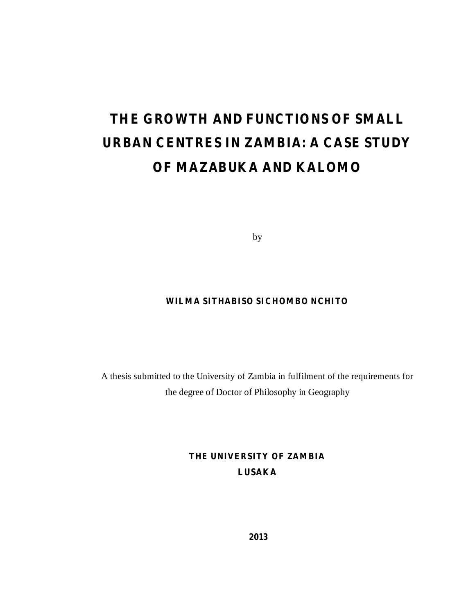# **THE GROWTH AND FUNCTIONS OF SMALL URBAN CENTRES IN ZAMBIA: A CASE STUDY OF MAZABUKA AND KALOMO**

by

### **WILMA SITHABISO SICHOMBO NCHITO**

A thesis submitted to the University of Zambia in fulfilment of the requirements for the degree of Doctor of Philosophy in Geography

> **THE UNIVERSITY OF ZAMBIA LUSAKA**

> > **2013**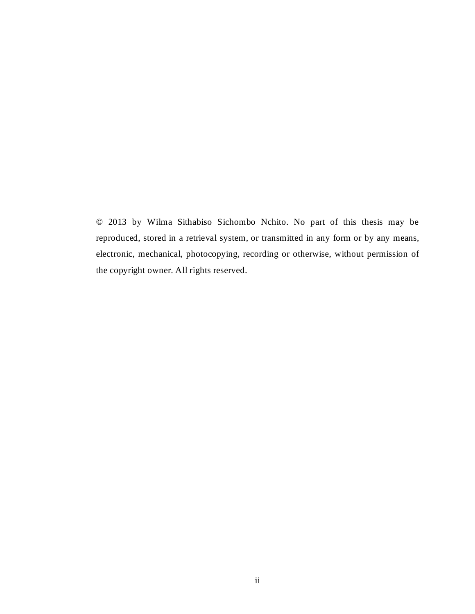© 2013 by Wilma Sithabiso Sichombo Nchito. No part of this thesis may be reproduced, stored in a retrieval system, or transmitted in any form or by any means, electronic, mechanical, photocopying, recording or otherwise, without permission of the copyright owner. All rights reserved.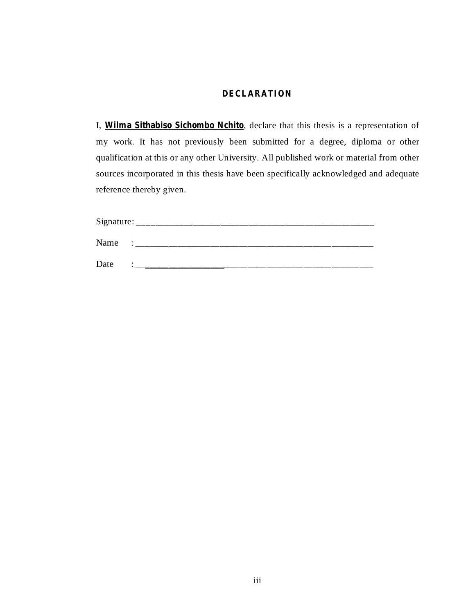### **DECLARATION**

I, Wilma Sithabiso Sichombo Nchito, declare that this thesis is a representation of my work. It has not previously been submitted for a degree, diploma or other qualification at this or any other University. All published work or material from other sources incorporated in this thesis have been specifically acknowledged and adequate reference thereby given.

| Signature: |   |
|------------|---|
| Name       | ٠ |
| Date       |   |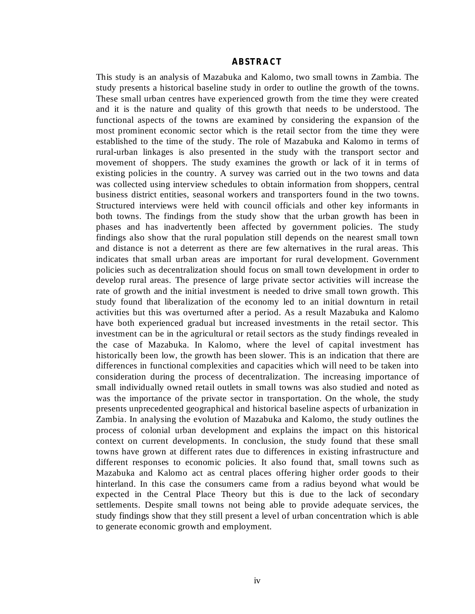#### **ABSTRACT**

This study is an analysis of Mazabuka and Kalomo, two small towns in Zambia. The study presents a historical baseline study in order to outline the growth of the towns. These small urban centres have experienced growth from the time they were created and it is the nature and quality of this growth that needs to be understood. The functional aspects of the towns are examined by considering the expansion of the most prominent economic sector which is the retail sector from the time they were established to the time of the study. The role of Mazabuka and Kalomo in terms of rural-urban linkages is also presented in the study with the transport sector and movement of shoppers. The study examines the growth or lack of it in terms of existing policies in the country. A survey was carried out in the two towns and data was collected using interview schedules to obtain information from shoppers, central business district entities, seasonal workers and transporters found in the two towns. Structured interviews were held with council officials and other key informants in both towns. The findings from the study show that the urban growth has been in phases and has inadvertently been affected by government policies. The study findings also show that the rural population still depends on the nearest small town and distance is not a deterrent as there are few alternatives in the rural areas. This indicates that small urban areas are important for rural development. Government policies such as decentralization should focus on small town development in order to develop rural areas. The presence of large private sector activities will increase the rate of growth and the initial investment is needed to drive small town growth. This study found that liberalization of the economy led to an initial downturn in retail activities but this was overturned after a period. As a result Mazabuka and Kalomo have both experienced gradual but increased investments in the retail sector. This investment can be in the agricultural or retail sectors as the study findings revealed in the case of Mazabuka. In Kalomo, where the level of capital investment has historically been low, the growth has been slower. This is an indication that there are differences in functional complexities and capacities which will need to be taken into consideration during the process of decentralization. The increasing importance of small individually owned retail outlets in small towns was also studied and noted as was the importance of the private sector in transportation. On the whole, the study presents unprecedented geographical and historical baseline aspects of urbanization in Zambia. In analysing the evolution of Mazabuka and Kalomo, the study outlines the process of colonial urban development and explains the impact on this historical context on current developments. In conclusion, the study found that these small towns have grown at different rates due to differences in existing infrastructure and different responses to economic policies. It also found that, small towns such as Mazabuka and Kalomo act as central places offering higher order goods to their hinterland. In this case the consumers came from a radius beyond what would be expected in the Central Place Theory but this is due to the lack of secondary settlements. Despite small towns not being able to provide adequate services, the study findings show that they still present a level of urban concentration which is able to generate economic growth and employment.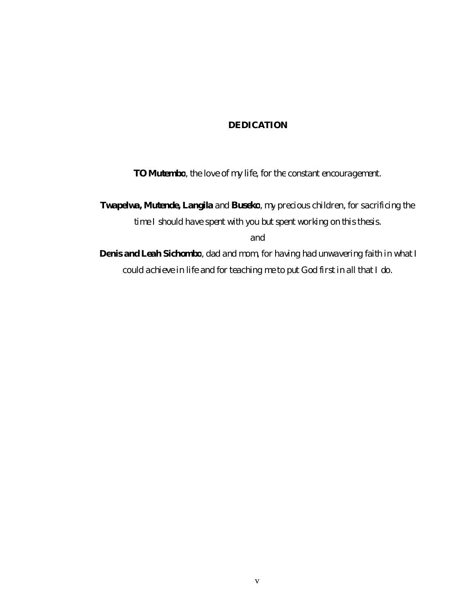### *DEDICATION*

*TO Mutembo , the love of my life, for the constant encouragement.*

*Twapelwa, Mutende, Langila and Buseko, my precious children, for sacrificing the time I should have spent with you but spent working on this thesis.*

*and*

*Denis and Leah Sichombo , dad and mom, for having had unwavering faith in what I could achieve in life and for teaching me to put God first in all that I do.*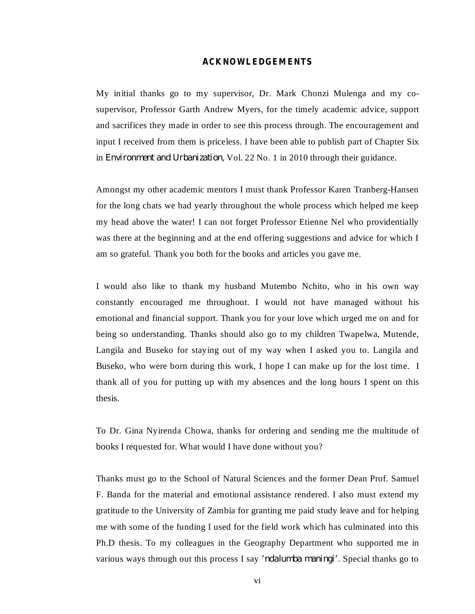#### **ACKNOWLEDGEMENTS**

My initial thanks go to my supervisor, Dr. Mark Chonzi Mulenga and my cosupervisor, Professor Garth Andrew Myers, for the timely academic advice, support and sacrifices they made in order to see this process through. The encouragement and input I received from them is priceless. I have been able to publish part of Chapter Six in *Environment and Urbanization*, Vol. 22 No. 1 in 2010 through their guidance.

Amongst my other academic mentors I must thank Professor Karen Tranberg-Hansen for the long chats we had yearly throughout the whole process which helped me keep my head above the water! I can not forget Professor Etienne Nel who providentially was there at the beginning and at the end offering suggestions and advice for which I am so grateful. Thank you both for the books and articles you gave me.

I would also like to thank my husband Mutembo Nchito, who in his own way constantly encouraged me throughout. I would not have managed without his emotional and financial support. Thank you for your love which urged me on and for being so understanding. Thanks should also go to my children Twapelwa, Mutende, Langila and Buseko for staying out of my way when I asked you to. Langila and Buseko, who were born during this work, I hope I can make up for the lost time. I thank all of you for putting up with my absences and the long hours I spent on this thesis.

To Dr. Gina Nyirenda Chowa, thanks for ordering and sending me the multitude of books I requested for. What would I have done without you?

Thanks must go to the School of Natural Sciences and the former Dean Prof. Samuel F. Banda for the material and emotional assistance rendered. I also must extend my gratitude to the University of Zambia for granting me paid study leave and for helping me with some of the funding I used for the field work which has culminated into this Ph.D thesis. To my colleagues in the Geography Department who supported me in various ways through out this process I say *'ndalumba maningi'*. Special thanks go to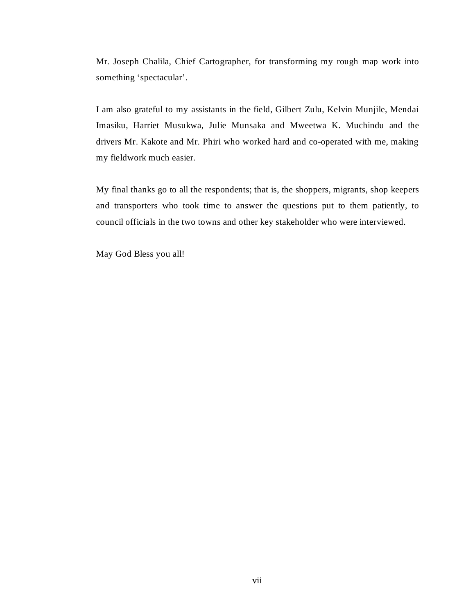Mr. Joseph Chalila, Chief Cartographer, for transforming my rough map work into something 'spectacular'.

I am also grateful to my assistants in the field, Gilbert Zulu, Kelvin Munjile, Mendai Imasiku, Harriet Musukwa, Julie Munsaka and Mweetwa K. Muchindu and the drivers Mr. Kakote and Mr. Phiri who worked hard and co-operated with me, making my fieldwork much easier.

My final thanks go to all the respondents; that is, the shoppers, migrants, shop keepers and transporters who took time to answer the questions put to them patiently, to council officials in the two towns and other key stakeholder who were interviewed.

May God Bless you all!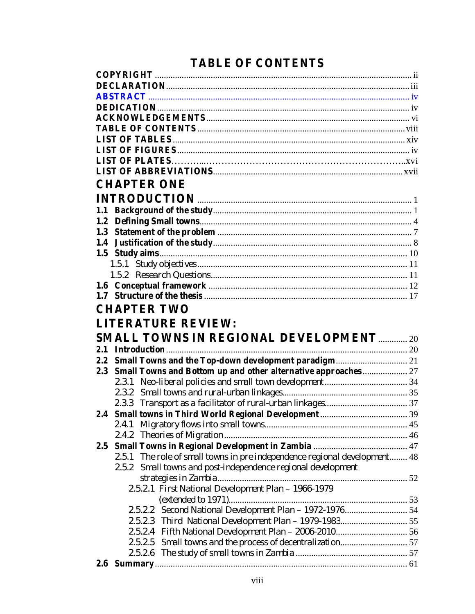# **TABLE OF CONTENTS**

|               | <b>CHAPTER ONE</b>                                                           |  |
|---------------|------------------------------------------------------------------------------|--|
|               |                                                                              |  |
| 1.1           |                                                                              |  |
| 1.2           |                                                                              |  |
|               |                                                                              |  |
| 1.4           |                                                                              |  |
|               |                                                                              |  |
|               |                                                                              |  |
|               |                                                                              |  |
|               |                                                                              |  |
|               |                                                                              |  |
|               | <b>CHAPTER TWO</b>                                                           |  |
|               |                                                                              |  |
|               |                                                                              |  |
|               | <b>LITERATURE REVIEW:</b>                                                    |  |
|               | <b>SMALL TOWNS IN REGIONAL DEVELOPMENT  20</b>                               |  |
| 2.1           |                                                                              |  |
| 2.2           |                                                                              |  |
| 2.3           | Small Towns and Bottom up and other alternative approaches  27               |  |
|               |                                                                              |  |
|               |                                                                              |  |
|               |                                                                              |  |
| 2.4           |                                                                              |  |
|               | 2.4.1                                                                        |  |
|               |                                                                              |  |
| $2.5^{\circ}$ |                                                                              |  |
|               | The role of small towns in pre independence regional development 48<br>2.5.1 |  |
|               | Small towns and post-independence regional development<br>2.5.2              |  |
|               |                                                                              |  |
|               | 2.5.2.1 First National Development Plan - 1966-1979                          |  |
|               |                                                                              |  |
|               | Second National Development Plan - 1972-197654<br>2.5.2.2                    |  |
|               | 2.5.2.3 Third National Development Plan - 1979-1983 55                       |  |
|               |                                                                              |  |
|               |                                                                              |  |
| 2.6           |                                                                              |  |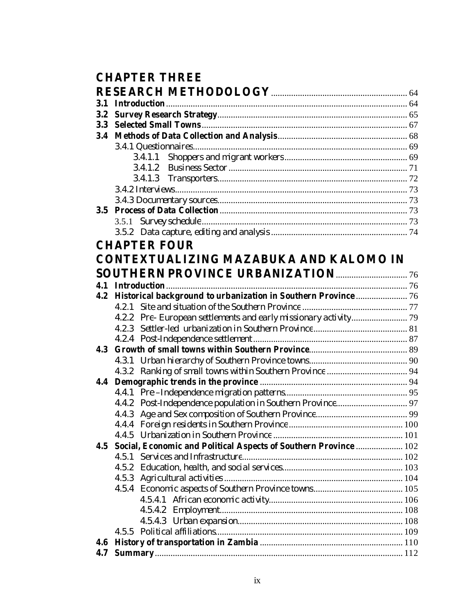# **CHAPTER THREE**

| 3.1 |                                                                  |  |
|-----|------------------------------------------------------------------|--|
| 3.2 |                                                                  |  |
| 3.3 |                                                                  |  |
| 3.4 |                                                                  |  |
|     |                                                                  |  |
|     | 3.4.1.1                                                          |  |
|     |                                                                  |  |
|     |                                                                  |  |
|     |                                                                  |  |
|     |                                                                  |  |
|     |                                                                  |  |
|     |                                                                  |  |
|     |                                                                  |  |
|     | <b>CHAPTER FOUR</b>                                              |  |
|     | CONTEXTUALIZING MAZABUKA AND KALOMO IN                           |  |
|     |                                                                  |  |
| 4.1 |                                                                  |  |
| 4.2 | Historical background to urbanization in Southern Province  76   |  |
|     | 4.2.1                                                            |  |
|     |                                                                  |  |
|     |                                                                  |  |
|     |                                                                  |  |
| 4.3 |                                                                  |  |
|     |                                                                  |  |
|     |                                                                  |  |
| 4.4 |                                                                  |  |
|     |                                                                  |  |
|     |                                                                  |  |
|     | 4.4.3                                                            |  |
|     |                                                                  |  |
|     |                                                                  |  |
| 4.5 | Social, Economic and Political Aspects of Southern Province  102 |  |
|     | 4.5.1                                                            |  |
|     |                                                                  |  |
|     |                                                                  |  |
|     |                                                                  |  |
|     |                                                                  |  |
|     |                                                                  |  |
|     |                                                                  |  |
|     |                                                                  |  |
| 4.6 |                                                                  |  |
| 4.7 |                                                                  |  |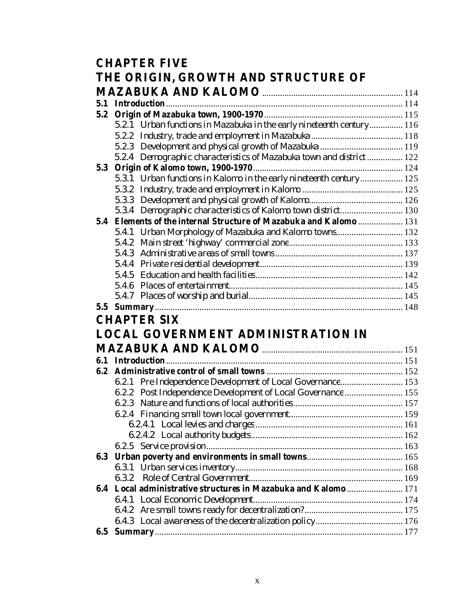|     | <b>CHAPTER FIVE</b>                                                   |  |
|-----|-----------------------------------------------------------------------|--|
|     | THE ORIGIN, GROWTH AND STRUCTURE OF                                   |  |
|     |                                                                       |  |
| 5.1 |                                                                       |  |
| 5.2 |                                                                       |  |
|     | 5.2.1 Urban functions in Mazabuka in the early nineteenth century 116 |  |
|     |                                                                       |  |
|     |                                                                       |  |
|     | 5.2.4 Demographic characteristics of Mazabuka town and district  122  |  |
|     |                                                                       |  |
|     | 5.3.1 Urban functions in Kalomo in the early nineteenth century  125  |  |
|     |                                                                       |  |
|     | 5.3.3                                                                 |  |
|     | 5.3.4 Demographic characteristics of Kalomo town district 130         |  |
|     | 5.4 Elements of the internal Structure of Mazabuka and Kalomo  131    |  |
|     | 5.4.1 Urban Morphology of Mazabuka and Kalomo towns 132               |  |
|     |                                                                       |  |
|     |                                                                       |  |
|     |                                                                       |  |
|     |                                                                       |  |
|     |                                                                       |  |
|     |                                                                       |  |
|     |                                                                       |  |
|     | <b>CHAPTER SIX</b>                                                    |  |
|     | <b>LOCAL GOVERNMENT ADMINISTRATION IN</b>                             |  |
|     |                                                                       |  |
|     |                                                                       |  |
| 6.2 |                                                                       |  |
|     | 6.2.1 Pre Independence Development of Local Governance 153            |  |
|     | 6.2.2 Post Independence Development of Local Governance  155          |  |
|     |                                                                       |  |
|     |                                                                       |  |
|     |                                                                       |  |
|     |                                                                       |  |
|     |                                                                       |  |
| 6.3 |                                                                       |  |
|     |                                                                       |  |
|     | 6.3.2                                                                 |  |
|     | 6.4 Local administrative structures in Mazabuka and Kalomo  171       |  |
|     | 6.4.1                                                                 |  |
|     |                                                                       |  |
|     |                                                                       |  |
| 6.5 |                                                                       |  |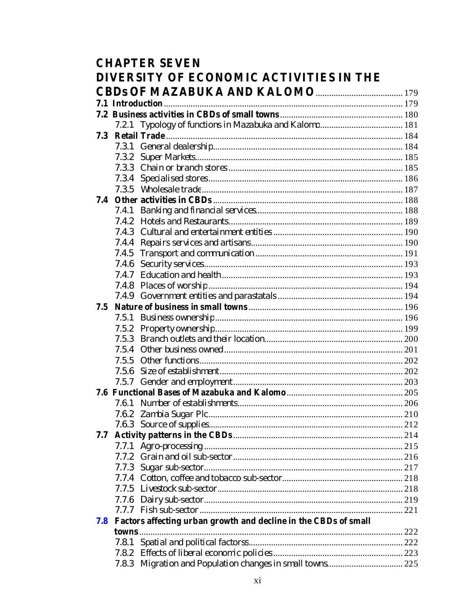| <b>CHAPTER SEVEN</b><br>DIVERSITY OF ECONOMIC ACTIVITIES IN THE |                |                                                                 |  |
|-----------------------------------------------------------------|----------------|-----------------------------------------------------------------|--|
|                                                                 |                |                                                                 |  |
|                                                                 |                |                                                                 |  |
|                                                                 |                |                                                                 |  |
|                                                                 | 7.2.1          |                                                                 |  |
| 7.3                                                             |                |                                                                 |  |
|                                                                 |                |                                                                 |  |
|                                                                 | 7.3.2          |                                                                 |  |
|                                                                 |                |                                                                 |  |
|                                                                 |                |                                                                 |  |
|                                                                 | 7.3.5          |                                                                 |  |
| 7.4                                                             |                |                                                                 |  |
|                                                                 | 7.4.1          |                                                                 |  |
|                                                                 | 7.4.2          |                                                                 |  |
|                                                                 |                |                                                                 |  |
|                                                                 |                |                                                                 |  |
|                                                                 | 7.4.5          |                                                                 |  |
|                                                                 | 7.4.6          |                                                                 |  |
|                                                                 |                |                                                                 |  |
|                                                                 | 7.4.8<br>7.4.9 |                                                                 |  |
| 7.5                                                             |                |                                                                 |  |
|                                                                 | 7.5.1          |                                                                 |  |
|                                                                 | 7.5.2          |                                                                 |  |
|                                                                 |                |                                                                 |  |
|                                                                 |                |                                                                 |  |
|                                                                 | 7.5.5          |                                                                 |  |
|                                                                 | 7.5.6          |                                                                 |  |
|                                                                 | 7.5.7          |                                                                 |  |
|                                                                 |                |                                                                 |  |
|                                                                 |                |                                                                 |  |
|                                                                 |                |                                                                 |  |
|                                                                 | 7.6.3          |                                                                 |  |
| 7.7                                                             |                |                                                                 |  |
|                                                                 | 7.7.1          |                                                                 |  |
|                                                                 | 7.7.2          |                                                                 |  |
|                                                                 | 7.7.3          |                                                                 |  |
|                                                                 | 7.7.4          |                                                                 |  |
|                                                                 | 7.7.5          |                                                                 |  |
|                                                                 | 7.7.6          |                                                                 |  |
|                                                                 |                |                                                                 |  |
| 7.8                                                             |                | Factors affecting urban growth and decline in the CBDs of small |  |
|                                                                 |                |                                                                 |  |
|                                                                 | 7.8.I          |                                                                 |  |
|                                                                 | 7.8.2          |                                                                 |  |
|                                                                 |                |                                                                 |  |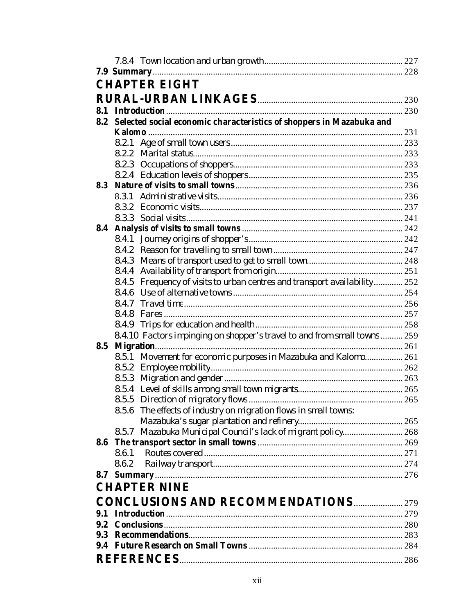|     |                | <b>CHAPTER EIGHT</b>                                                      |  |
|-----|----------------|---------------------------------------------------------------------------|--|
|     |                |                                                                           |  |
|     |                |                                                                           |  |
|     |                | 8.2 Selected social economic characteristics of shoppers in Mazabuka and  |  |
|     |                |                                                                           |  |
|     |                |                                                                           |  |
|     |                |                                                                           |  |
|     |                |                                                                           |  |
|     |                |                                                                           |  |
| 8.3 |                |                                                                           |  |
|     |                |                                                                           |  |
|     |                |                                                                           |  |
|     |                |                                                                           |  |
| 8.4 |                |                                                                           |  |
|     | 8.4.1          |                                                                           |  |
|     |                |                                                                           |  |
|     | 8.4.3          |                                                                           |  |
|     | 8.4.4          |                                                                           |  |
|     |                | 8.4.5 Frequency of visits to urban centres and transport availability 252 |  |
|     |                |                                                                           |  |
|     |                |                                                                           |  |
|     |                |                                                                           |  |
|     |                |                                                                           |  |
|     |                | 8.4.10 Factors impinging on shopper's travel to and from small towns  259 |  |
| 8.5 |                |                                                                           |  |
|     |                | 8.5.1 Movement for economic purposes in Mazabuka and Kalomo 261           |  |
|     |                |                                                                           |  |
|     |                |                                                                           |  |
|     |                |                                                                           |  |
|     |                |                                                                           |  |
|     |                | 8.5.6 The effects of industry on migration flows in small towns:          |  |
|     |                |                                                                           |  |
|     |                | 8.5.7 Mazabuka Municipal Council's lack of migrant policy 268             |  |
| 8.6 |                |                                                                           |  |
|     | 8.6.1<br>8.6.2 |                                                                           |  |
|     |                |                                                                           |  |
|     |                |                                                                           |  |
|     |                | <b>CHAPTER NINE</b>                                                       |  |
|     |                |                                                                           |  |
| 9.1 |                |                                                                           |  |
|     |                |                                                                           |  |
|     |                |                                                                           |  |
|     |                |                                                                           |  |
|     |                |                                                                           |  |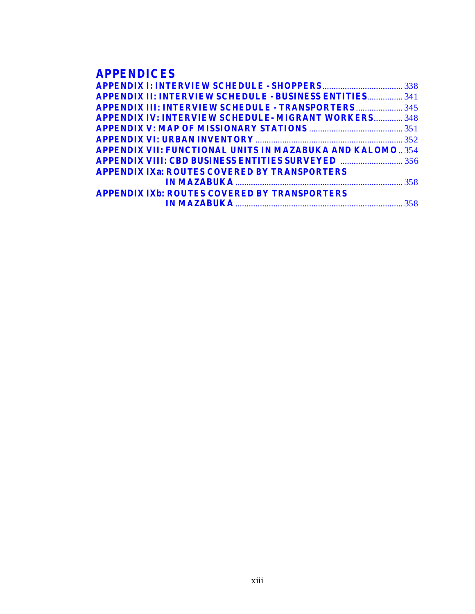# **APPENDICES**

| <b>APPENDIX II: INTERVIEW SCHEDULE - BUSINESS ENTITIES 341</b>  |  |
|-----------------------------------------------------------------|--|
| <b>APPENDIX III: INTERVIEW SCHEDULE - TRANSPORTERS  345</b>     |  |
| <b>APPENDIX IV: INTERVIEW SCHEDULE- MIGRANT WORKERS 348</b>     |  |
|                                                                 |  |
|                                                                 |  |
| <b>APPENDIX VII: FUNCTIONAL UNITS IN MAZABUKA AND KALOMO354</b> |  |
|                                                                 |  |
| <b>APPENDIX IXa: ROUTES COVERED BY TRANSPORTERS</b>             |  |
|                                                                 |  |
| <b>APPENDIX IXb: ROUTES COVERED BY TRANSPORTERS</b>             |  |
|                                                                 |  |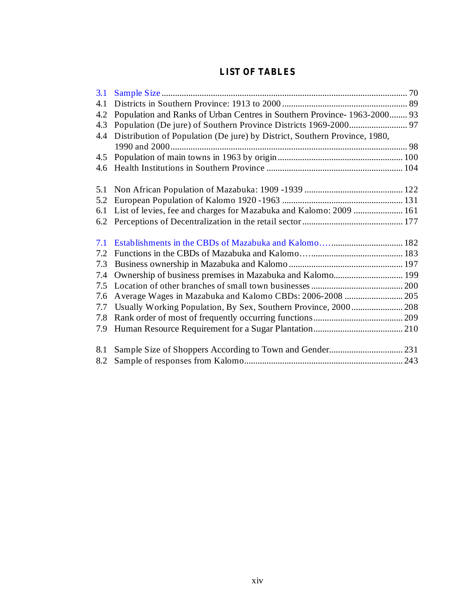### **LIST OF TABLES**

| 3.1 |                                                                            |  |
|-----|----------------------------------------------------------------------------|--|
| 4.1 |                                                                            |  |
| 4.2 | Population and Ranks of Urban Centres in Southern Province-1963-2000 93    |  |
| 4.3 |                                                                            |  |
| 4.4 | Distribution of Population (De jure) by District, Southern Province, 1980, |  |
|     |                                                                            |  |
| 4.5 |                                                                            |  |
| 4.6 |                                                                            |  |
| 5.1 |                                                                            |  |
| 5.2 |                                                                            |  |
| 6.1 | List of levies, fee and charges for Mazabuka and Kalomo: 2009  161         |  |
|     |                                                                            |  |
| 7.1 |                                                                            |  |
| 7.2 |                                                                            |  |
| 7.3 |                                                                            |  |
| 7.4 | Ownership of business premises in Mazabuka and Kalomo 199                  |  |
| 7.5 |                                                                            |  |
| 7.6 | Average Wages in Mazabuka and Kalomo CBDs: 2006-2008  205                  |  |
| 7.7 |                                                                            |  |
| 7.8 |                                                                            |  |
| 7.9 |                                                                            |  |
| 8.1 |                                                                            |  |
| 8.2 |                                                                            |  |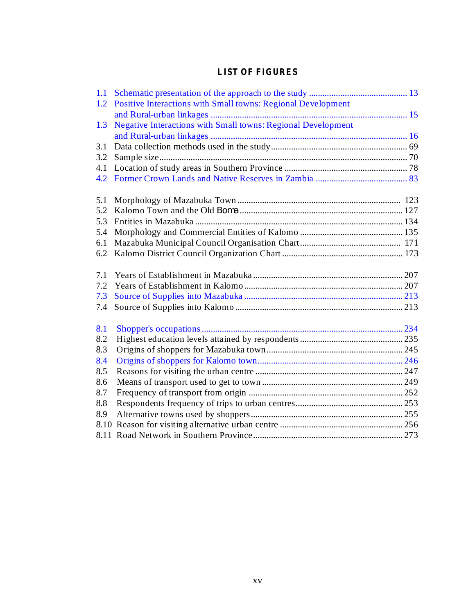### **LIST OF FIGURES**

| 1.1  |                                                                     |  |
|------|---------------------------------------------------------------------|--|
| 1.2  | <b>Positive Interactions with Small towns: Regional Development</b> |  |
|      |                                                                     |  |
| 1.3  | <b>Negative Interactions with Small towns: Regional Development</b> |  |
|      |                                                                     |  |
| 3.1  |                                                                     |  |
| 3.2  |                                                                     |  |
| 4.1  |                                                                     |  |
| 4.2  |                                                                     |  |
| 5.1  |                                                                     |  |
| 5.2  |                                                                     |  |
| 5.3  |                                                                     |  |
| 5.4  |                                                                     |  |
| 6.1  |                                                                     |  |
| 6.2  |                                                                     |  |
| 7.1  |                                                                     |  |
| 7.2  |                                                                     |  |
| 7.3  |                                                                     |  |
| 7.4  |                                                                     |  |
| 8.1  |                                                                     |  |
| 8.2  |                                                                     |  |
| 8.3  |                                                                     |  |
| 8.4  |                                                                     |  |
| 8.5  |                                                                     |  |
| 8.6  |                                                                     |  |
| 8.7  |                                                                     |  |
| 8.8  |                                                                     |  |
| 8.9  |                                                                     |  |
| 8.10 |                                                                     |  |
|      |                                                                     |  |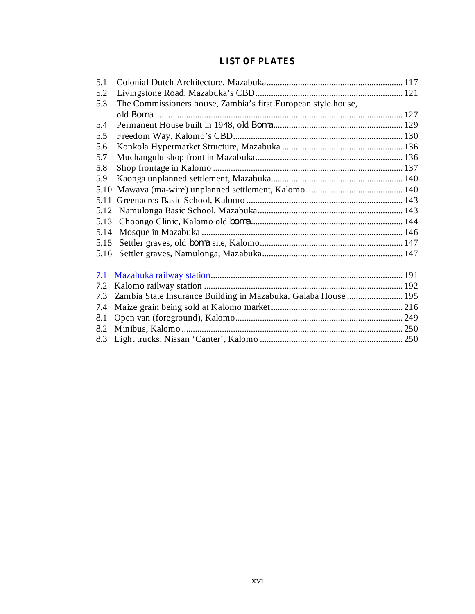# **LIST OF PLATES**

| 5.1  |                                                                |  |
|------|----------------------------------------------------------------|--|
| 5.2  |                                                                |  |
| 5.3  | The Commissioners house, Zambia's first European style house,  |  |
|      |                                                                |  |
| 5.4  |                                                                |  |
| 5.5  |                                                                |  |
| 5.6  |                                                                |  |
| 5.7  |                                                                |  |
| 5.8  |                                                                |  |
| 5.9  |                                                                |  |
| 5.10 |                                                                |  |
| 5.11 |                                                                |  |
| 5.12 |                                                                |  |
| 5.13 |                                                                |  |
| 5.14 |                                                                |  |
| 5.15 |                                                                |  |
| 5.16 |                                                                |  |
| 7.1  |                                                                |  |
| 7.2  |                                                                |  |
| 7.3  | Zambia State Insurance Building in Mazabuka, Galaba House  195 |  |
| 7.4  |                                                                |  |
| 8.1  |                                                                |  |
| 8.2  |                                                                |  |
| 8.3  |                                                                |  |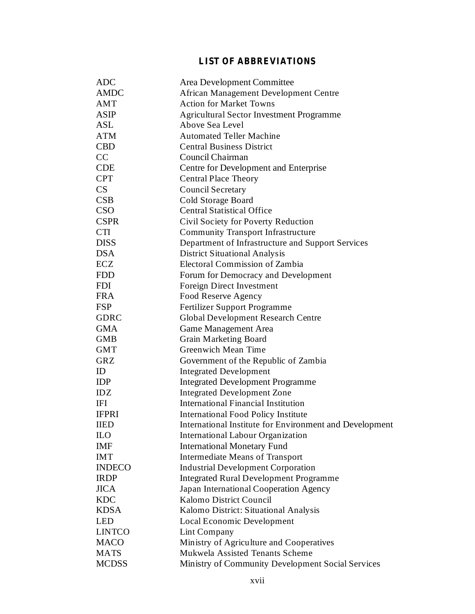# **LIST OF ABBREVIATIONS**

| <b>AMDC</b><br>African Management Development Centre<br><b>Action for Market Towns</b><br>AMT<br><b>ASIP</b><br><b>Agricultural Sector Investment Programme</b><br>ASL<br>Above Sea Level<br><b>ATM</b><br><b>Automated Teller Machine</b><br><b>CBD</b><br><b>Central Business District</b><br>CC<br>Council Chairman<br><b>CDE</b><br>Centre for Development and Enterprise<br><b>CPT</b><br><b>Central Place Theory</b><br>CS<br><b>Council Secretary</b><br>CSB<br>Cold Storage Board<br><b>CSO</b><br><b>Central Statistical Office</b><br><b>CSPR</b><br>Civil Society for Poverty Reduction<br><b>CTI</b><br><b>Community Transport Infrastructure</b><br><b>DISS</b><br>Department of Infrastructure and Support Services<br><b>DSA</b><br><b>District Situational Analysis</b><br>ECZ<br>Electoral Commission of Zambia<br><b>FDD</b><br>Forum for Democracy and Development<br><b>FDI</b><br>Foreign Direct Investment<br><b>FRA</b><br>Food Reserve Agency<br><b>FSP</b><br>Fertilizer Support Programme<br><b>GDRC</b><br><b>Global Development Research Centre</b><br><b>GMA</b><br>Game Management Area<br><b>Grain Marketing Board</b><br><b>GMB</b><br><b>Greenwich Mean Time</b><br><b>GMT</b><br>Government of the Republic of Zambia<br><b>GRZ</b><br>ID<br><b>Integrated Development</b><br><b>IDP</b><br><b>Integrated Development Programme</b><br>IDZ<br><b>Integrated Development Zone</b><br><b>International Financial Institution</b><br>IFI<br><b>IFPRI</b><br><b>International Food Policy Institute</b> |
|---------------------------------------------------------------------------------------------------------------------------------------------------------------------------------------------------------------------------------------------------------------------------------------------------------------------------------------------------------------------------------------------------------------------------------------------------------------------------------------------------------------------------------------------------------------------------------------------------------------------------------------------------------------------------------------------------------------------------------------------------------------------------------------------------------------------------------------------------------------------------------------------------------------------------------------------------------------------------------------------------------------------------------------------------------------------------------------------------------------------------------------------------------------------------------------------------------------------------------------------------------------------------------------------------------------------------------------------------------------------------------------------------------------------------------------------------------------------------------------------------------------------------------------|
|                                                                                                                                                                                                                                                                                                                                                                                                                                                                                                                                                                                                                                                                                                                                                                                                                                                                                                                                                                                                                                                                                                                                                                                                                                                                                                                                                                                                                                                                                                                                       |
|                                                                                                                                                                                                                                                                                                                                                                                                                                                                                                                                                                                                                                                                                                                                                                                                                                                                                                                                                                                                                                                                                                                                                                                                                                                                                                                                                                                                                                                                                                                                       |
|                                                                                                                                                                                                                                                                                                                                                                                                                                                                                                                                                                                                                                                                                                                                                                                                                                                                                                                                                                                                                                                                                                                                                                                                                                                                                                                                                                                                                                                                                                                                       |
|                                                                                                                                                                                                                                                                                                                                                                                                                                                                                                                                                                                                                                                                                                                                                                                                                                                                                                                                                                                                                                                                                                                                                                                                                                                                                                                                                                                                                                                                                                                                       |
|                                                                                                                                                                                                                                                                                                                                                                                                                                                                                                                                                                                                                                                                                                                                                                                                                                                                                                                                                                                                                                                                                                                                                                                                                                                                                                                                                                                                                                                                                                                                       |
|                                                                                                                                                                                                                                                                                                                                                                                                                                                                                                                                                                                                                                                                                                                                                                                                                                                                                                                                                                                                                                                                                                                                                                                                                                                                                                                                                                                                                                                                                                                                       |
|                                                                                                                                                                                                                                                                                                                                                                                                                                                                                                                                                                                                                                                                                                                                                                                                                                                                                                                                                                                                                                                                                                                                                                                                                                                                                                                                                                                                                                                                                                                                       |
|                                                                                                                                                                                                                                                                                                                                                                                                                                                                                                                                                                                                                                                                                                                                                                                                                                                                                                                                                                                                                                                                                                                                                                                                                                                                                                                                                                                                                                                                                                                                       |
|                                                                                                                                                                                                                                                                                                                                                                                                                                                                                                                                                                                                                                                                                                                                                                                                                                                                                                                                                                                                                                                                                                                                                                                                                                                                                                                                                                                                                                                                                                                                       |
|                                                                                                                                                                                                                                                                                                                                                                                                                                                                                                                                                                                                                                                                                                                                                                                                                                                                                                                                                                                                                                                                                                                                                                                                                                                                                                                                                                                                                                                                                                                                       |
|                                                                                                                                                                                                                                                                                                                                                                                                                                                                                                                                                                                                                                                                                                                                                                                                                                                                                                                                                                                                                                                                                                                                                                                                                                                                                                                                                                                                                                                                                                                                       |
|                                                                                                                                                                                                                                                                                                                                                                                                                                                                                                                                                                                                                                                                                                                                                                                                                                                                                                                                                                                                                                                                                                                                                                                                                                                                                                                                                                                                                                                                                                                                       |
|                                                                                                                                                                                                                                                                                                                                                                                                                                                                                                                                                                                                                                                                                                                                                                                                                                                                                                                                                                                                                                                                                                                                                                                                                                                                                                                                                                                                                                                                                                                                       |
|                                                                                                                                                                                                                                                                                                                                                                                                                                                                                                                                                                                                                                                                                                                                                                                                                                                                                                                                                                                                                                                                                                                                                                                                                                                                                                                                                                                                                                                                                                                                       |
|                                                                                                                                                                                                                                                                                                                                                                                                                                                                                                                                                                                                                                                                                                                                                                                                                                                                                                                                                                                                                                                                                                                                                                                                                                                                                                                                                                                                                                                                                                                                       |
|                                                                                                                                                                                                                                                                                                                                                                                                                                                                                                                                                                                                                                                                                                                                                                                                                                                                                                                                                                                                                                                                                                                                                                                                                                                                                                                                                                                                                                                                                                                                       |
|                                                                                                                                                                                                                                                                                                                                                                                                                                                                                                                                                                                                                                                                                                                                                                                                                                                                                                                                                                                                                                                                                                                                                                                                                                                                                                                                                                                                                                                                                                                                       |
|                                                                                                                                                                                                                                                                                                                                                                                                                                                                                                                                                                                                                                                                                                                                                                                                                                                                                                                                                                                                                                                                                                                                                                                                                                                                                                                                                                                                                                                                                                                                       |
|                                                                                                                                                                                                                                                                                                                                                                                                                                                                                                                                                                                                                                                                                                                                                                                                                                                                                                                                                                                                                                                                                                                                                                                                                                                                                                                                                                                                                                                                                                                                       |
|                                                                                                                                                                                                                                                                                                                                                                                                                                                                                                                                                                                                                                                                                                                                                                                                                                                                                                                                                                                                                                                                                                                                                                                                                                                                                                                                                                                                                                                                                                                                       |
|                                                                                                                                                                                                                                                                                                                                                                                                                                                                                                                                                                                                                                                                                                                                                                                                                                                                                                                                                                                                                                                                                                                                                                                                                                                                                                                                                                                                                                                                                                                                       |
|                                                                                                                                                                                                                                                                                                                                                                                                                                                                                                                                                                                                                                                                                                                                                                                                                                                                                                                                                                                                                                                                                                                                                                                                                                                                                                                                                                                                                                                                                                                                       |
|                                                                                                                                                                                                                                                                                                                                                                                                                                                                                                                                                                                                                                                                                                                                                                                                                                                                                                                                                                                                                                                                                                                                                                                                                                                                                                                                                                                                                                                                                                                                       |
|                                                                                                                                                                                                                                                                                                                                                                                                                                                                                                                                                                                                                                                                                                                                                                                                                                                                                                                                                                                                                                                                                                                                                                                                                                                                                                                                                                                                                                                                                                                                       |
|                                                                                                                                                                                                                                                                                                                                                                                                                                                                                                                                                                                                                                                                                                                                                                                                                                                                                                                                                                                                                                                                                                                                                                                                                                                                                                                                                                                                                                                                                                                                       |
|                                                                                                                                                                                                                                                                                                                                                                                                                                                                                                                                                                                                                                                                                                                                                                                                                                                                                                                                                                                                                                                                                                                                                                                                                                                                                                                                                                                                                                                                                                                                       |
|                                                                                                                                                                                                                                                                                                                                                                                                                                                                                                                                                                                                                                                                                                                                                                                                                                                                                                                                                                                                                                                                                                                                                                                                                                                                                                                                                                                                                                                                                                                                       |
|                                                                                                                                                                                                                                                                                                                                                                                                                                                                                                                                                                                                                                                                                                                                                                                                                                                                                                                                                                                                                                                                                                                                                                                                                                                                                                                                                                                                                                                                                                                                       |
|                                                                                                                                                                                                                                                                                                                                                                                                                                                                                                                                                                                                                                                                                                                                                                                                                                                                                                                                                                                                                                                                                                                                                                                                                                                                                                                                                                                                                                                                                                                                       |
|                                                                                                                                                                                                                                                                                                                                                                                                                                                                                                                                                                                                                                                                                                                                                                                                                                                                                                                                                                                                                                                                                                                                                                                                                                                                                                                                                                                                                                                                                                                                       |
|                                                                                                                                                                                                                                                                                                                                                                                                                                                                                                                                                                                                                                                                                                                                                                                                                                                                                                                                                                                                                                                                                                                                                                                                                                                                                                                                                                                                                                                                                                                                       |
| <b>IIED</b><br>International Institute for Environment and Development                                                                                                                                                                                                                                                                                                                                                                                                                                                                                                                                                                                                                                                                                                                                                                                                                                                                                                                                                                                                                                                                                                                                                                                                                                                                                                                                                                                                                                                                |
| International Labour Organization<br><b>ILO</b>                                                                                                                                                                                                                                                                                                                                                                                                                                                                                                                                                                                                                                                                                                                                                                                                                                                                                                                                                                                                                                                                                                                                                                                                                                                                                                                                                                                                                                                                                       |
| <b>IMF</b><br><b>International Monetary Fund</b>                                                                                                                                                                                                                                                                                                                                                                                                                                                                                                                                                                                                                                                                                                                                                                                                                                                                                                                                                                                                                                                                                                                                                                                                                                                                                                                                                                                                                                                                                      |
| <b>IMT</b><br><b>Intermediate Means of Transport</b>                                                                                                                                                                                                                                                                                                                                                                                                                                                                                                                                                                                                                                                                                                                                                                                                                                                                                                                                                                                                                                                                                                                                                                                                                                                                                                                                                                                                                                                                                  |
| <b>INDECO</b><br><b>Industrial Development Corporation</b>                                                                                                                                                                                                                                                                                                                                                                                                                                                                                                                                                                                                                                                                                                                                                                                                                                                                                                                                                                                                                                                                                                                                                                                                                                                                                                                                                                                                                                                                            |
| <b>IRDP</b><br><b>Integrated Rural Development Programme</b>                                                                                                                                                                                                                                                                                                                                                                                                                                                                                                                                                                                                                                                                                                                                                                                                                                                                                                                                                                                                                                                                                                                                                                                                                                                                                                                                                                                                                                                                          |
| <b>JICA</b><br>Japan International Cooperation Agency                                                                                                                                                                                                                                                                                                                                                                                                                                                                                                                                                                                                                                                                                                                                                                                                                                                                                                                                                                                                                                                                                                                                                                                                                                                                                                                                                                                                                                                                                 |
| <b>KDC</b><br>Kalomo District Council                                                                                                                                                                                                                                                                                                                                                                                                                                                                                                                                                                                                                                                                                                                                                                                                                                                                                                                                                                                                                                                                                                                                                                                                                                                                                                                                                                                                                                                                                                 |
| <b>KDSA</b><br>Kalomo District: Situational Analysis                                                                                                                                                                                                                                                                                                                                                                                                                                                                                                                                                                                                                                                                                                                                                                                                                                                                                                                                                                                                                                                                                                                                                                                                                                                                                                                                                                                                                                                                                  |
| <b>LED</b><br><b>Local Economic Development</b>                                                                                                                                                                                                                                                                                                                                                                                                                                                                                                                                                                                                                                                                                                                                                                                                                                                                                                                                                                                                                                                                                                                                                                                                                                                                                                                                                                                                                                                                                       |
| <b>LINTCO</b><br>Lint Company                                                                                                                                                                                                                                                                                                                                                                                                                                                                                                                                                                                                                                                                                                                                                                                                                                                                                                                                                                                                                                                                                                                                                                                                                                                                                                                                                                                                                                                                                                         |
| Ministry of Agriculture and Cooperatives<br><b>MACO</b>                                                                                                                                                                                                                                                                                                                                                                                                                                                                                                                                                                                                                                                                                                                                                                                                                                                                                                                                                                                                                                                                                                                                                                                                                                                                                                                                                                                                                                                                               |
| Mukwela Assisted Tenants Scheme<br><b>MATS</b>                                                                                                                                                                                                                                                                                                                                                                                                                                                                                                                                                                                                                                                                                                                                                                                                                                                                                                                                                                                                                                                                                                                                                                                                                                                                                                                                                                                                                                                                                        |
| <b>MCDSS</b><br>Ministry of Community Development Social Services                                                                                                                                                                                                                                                                                                                                                                                                                                                                                                                                                                                                                                                                                                                                                                                                                                                                                                                                                                                                                                                                                                                                                                                                                                                                                                                                                                                                                                                                     |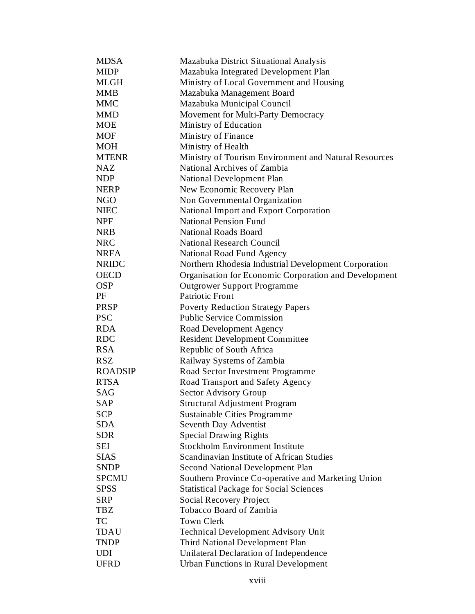| <b>MDSA</b>    | Mazabuka District Situational Analysis                |
|----------------|-------------------------------------------------------|
| <b>MIDP</b>    | Mazabuka Integrated Development Plan                  |
| <b>MLGH</b>    | Ministry of Local Government and Housing              |
| <b>MMB</b>     | Mazabuka Management Board                             |
| <b>MMC</b>     | Mazabuka Municipal Council                            |
| <b>MMD</b>     | Movement for Multi-Party Democracy                    |
| <b>MOE</b>     | Ministry of Education                                 |
| <b>MOF</b>     | Ministry of Finance                                   |
| <b>MOH</b>     | Ministry of Health                                    |
| <b>MTENR</b>   | Ministry of Tourism Environment and Natural Resources |
| <b>NAZ</b>     | National Archives of Zambia                           |
| <b>NDP</b>     | National Development Plan                             |
| <b>NERP</b>    | New Economic Recovery Plan                            |
| <b>NGO</b>     | Non Governmental Organization                         |
| <b>NIEC</b>    | National Import and Export Corporation                |
| <b>NPF</b>     | <b>National Pension Fund</b>                          |
| <b>NRB</b>     | <b>National Roads Board</b>                           |
| <b>NRC</b>     | <b>National Research Council</b>                      |
| <b>NRFA</b>    | National Road Fund Agency                             |
| <b>NRIDC</b>   | Northern Rhodesia Industrial Development Corporation  |
| <b>OECD</b>    | Organisation for Economic Corporation and Development |
| <b>OSP</b>     | <b>Outgrower Support Programme</b>                    |
| PF             | <b>Patriotic Front</b>                                |
| PRSP           | <b>Poverty Reduction Strategy Papers</b>              |
| <b>PSC</b>     | <b>Public Service Commission</b>                      |
| <b>RDA</b>     | Road Development Agency                               |
| <b>RDC</b>     | <b>Resident Development Committee</b>                 |
| <b>RSA</b>     | Republic of South Africa                              |
| <b>RSZ</b>     | Railway Systems of Zambia                             |
| <b>ROADSIP</b> | Road Sector Investment Programme                      |
| <b>RTSA</b>    | Road Transport and Safety Agency                      |
| SAG            | <b>Sector Advisory Group</b>                          |
| SAP            | <b>Structural Adjustment Program</b>                  |
| <b>SCP</b>     | <b>Sustainable Cities Programme</b>                   |
| <b>SDA</b>     | Seventh Day Adventist                                 |
| <b>SDR</b>     | <b>Special Drawing Rights</b>                         |
| <b>SEI</b>     | <b>Stockholm Environment Institute</b>                |
| <b>SIAS</b>    | Scandinavian Institute of African Studies             |
| <b>SNDP</b>    | <b>Second National Development Plan</b>               |
| SPCMU          | Southern Province Co-operative and Marketing Union    |
| <b>SPSS</b>    | <b>Statistical Package for Social Sciences</b>        |
| <b>SRP</b>     | <b>Social Recovery Project</b>                        |
| <b>TBZ</b>     | Tobacco Board of Zambia                               |
| <b>TC</b>      | <b>Town Clerk</b>                                     |
| <b>TDAU</b>    | <b>Technical Development Advisory Unit</b>            |
| <b>TNDP</b>    | Third National Development Plan                       |
| <b>UDI</b>     | Unilateral Declaration of Independence                |
| <b>UFRD</b>    | <b>Urban Functions in Rural Development</b>           |
|                |                                                       |